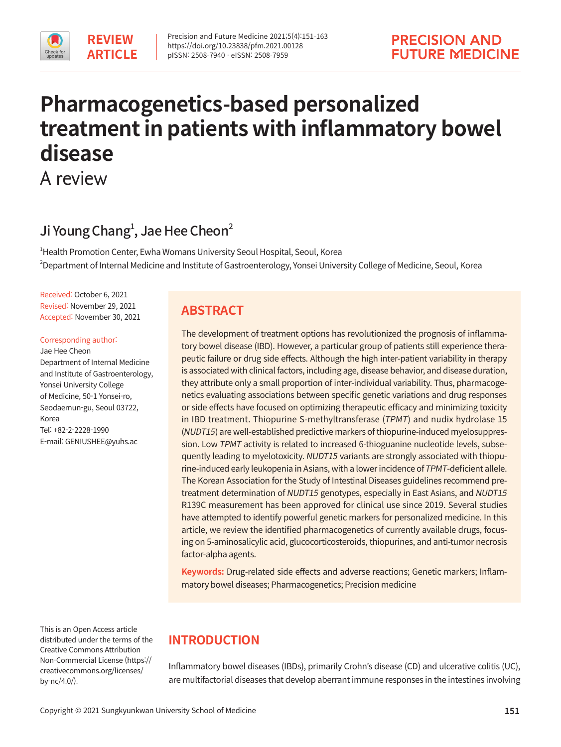# **Pharmacogenetics-based personalized treatment in patients with inflammatory bowel disease**

A review

# Ji Young Chang $^1$ , Jae Hee Cheon $^2$

1 Health Promotion Center, Ewha Womans University Seoul Hospital, Seoul, Korea 2 Department of Internal Medicine and Institute of Gastroenterology, Yonsei University College of Medicine, Seoul, Korea

Received: October 6, 2021 Revised: November 29, 2021 Accepted: November 30, 2021

#### Corresponding author:

Jae Hee Cheon Department of Internal Medicine and Institute of Gastroenterology, Yonsei University College of Medicine, 50-1 Yonsei-ro, Seodaemun-gu, Seoul 03722, Korea Tel: +82-2-2228-1990 E-mail: GENIUSHEE@yuhs.ac

This is an Open Access article distributed under the terms of the Creative Commons Attribution Non-Commercial License (https:// creativecommons.org/licenses/ by-nc/4.0/).

# **ABSTRACT**

The development of treatment options has revolutionized the prognosis of inflammatory bowel disease (IBD). However, a particular group of patients still experience therapeutic failure or drug side effects. Although the high inter-patient variability in therapy is associated with clinical factors, including age, disease behavior, and disease duration, they attribute only a small proportion of inter-individual variability. Thus, pharmacogenetics evaluating associations between specific genetic variations and drug responses or side effects have focused on optimizing therapeutic efficacy and minimizing toxicity in IBD treatment. Thiopurine S-methyltransferase (TPMT) and nudix hydrolase 15 (NUDT15) are well-established predictive markers of thiopurine-induced myelosuppression. Low TPMT activity is related to increased 6-thioguanine nucleotide levels, subsequently leading to myelotoxicity. NUDT15 variants are strongly associated with thiopurine-induced early leukopenia in Asians, with a lower incidence of TPMT-deficient allele. The Korean Association for the Study of Intestinal Diseases guidelines recommend pretreatment determination of NUDT15 genotypes, especially in East Asians, and NUDT15 R139C measurement has been approved for clinical use since 2019. Several studies have attempted to identify powerful genetic markers for personalized medicine. In this article, we review the identified pharmacogenetics of currently available drugs, focusing on 5-aminosalicylic acid, glucocorticosteroids, thiopurines, and anti-tumor necrosis factor-alpha agents.

**Keywords:** Drug-related side effects and adverse reactions; Genetic markers; Inflammatory bowel diseases; Pharmacogenetics; Precision medicine

# **INTRODUCTION**

Inflammatory bowel diseases (IBDs), primarily Crohn's disease (CD) and ulcerative colitis (UC), are multifactorial diseases that develop aberrant immune responses in the intestines involving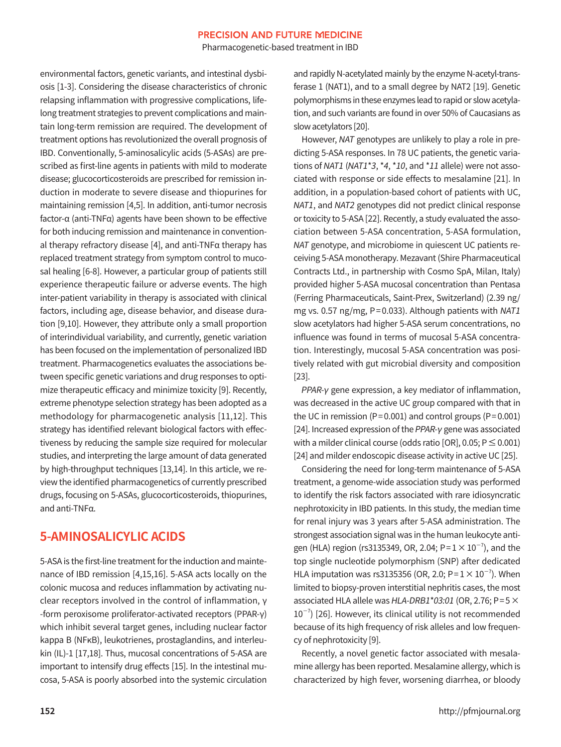Pharmacogenetic-based treatment in IBD

environmental factors, genetic variants, and intestinal dysbiosis [1-3]. Considering the disease characteristics of chronic relapsing inflammation with progressive complications, lifelong treatment strategies to prevent complications and maintain long-term remission are required. The development of treatment options has revolutionized the overall prognosis of IBD. Conventionally, 5-aminosalicylic acids (5-ASAs) are prescribed as first-line agents in patients with mild to moderate disease; glucocorticosteroids are prescribed for remission induction in moderate to severe disease and thiopurines for maintaining remission [4,5]. In addition, anti-tumor necrosis factor-α (anti-TNFα) agents have been shown to be effective for both inducing remission and maintenance in conventional therapy refractory disease [4], and anti-TNFα therapy has replaced treatment strategy from symptom control to mucosal healing [6-8]. However, a particular group of patients still experience therapeutic failure or adverse events. The high inter-patient variability in therapy is associated with clinical factors, including age, disease behavior, and disease duration [9,10]. However, they attribute only a small proportion of interindividual variability, and currently, genetic variation has been focused on the implementation of personalized IBD treatment. Pharmacogenetics evaluates the associations between specific genetic variations and drug responses to optimize therapeutic efficacy and minimize toxicity [9]. Recently, extreme phenotype selection strategy has been adopted as a methodology for pharmacogenetic analysis [11,12]. This strategy has identified relevant biological factors with effectiveness by reducing the sample size required for molecular studies, and interpreting the large amount of data generated by high-throughput techniques [13,14]. In this article, we review the identified pharmacogenetics of currently prescribed drugs, focusing on 5-ASAs, glucocorticosteroids, thiopurines, and anti-TNFα.

# **5-AMINOSALICYLIC ACIDS**

5-ASA is the first-line treatment for the induction and maintenance of IBD remission [4,15,16]. 5-ASA acts locally on the colonic mucosa and reduces inflammation by activating nuclear receptors involved in the control of inflammation, γ -form peroxisome proliferator-activated receptors (PPAR-γ) which inhibit several target genes, including nuclear factor kappa B (NFκB), leukotrienes, prostaglandins, and interleukin (IL)-1 [17,18]. Thus, mucosal concentrations of 5-ASA are important to intensify drug effects [15]. In the intestinal mucosa, 5-ASA is poorly absorbed into the systemic circulation

and rapidly N-acetylated mainly by the enzyme N-acetyl-transferase 1 (NAT1), and to a small degree by NAT2 [19]. Genetic polymorphisms in these enzymes lead to rapid or slow acetylation, and such variants are found in over 50% of Caucasians as slow acetylators [20].

However, NAT genotypes are unlikely to play a role in predicting 5-ASA responses. In 78 UC patients, the genetic variations of NAT1 (NAT1\*3, \*4, \*10, and \*11 allele) were not associated with response or side effects to mesalamine [21]. In addition, in a population-based cohort of patients with UC, NAT1, and NAT2 genotypes did not predict clinical response or toxicity to 5-ASA [22]. Recently, a study evaluated the association between 5-ASA concentration, 5-ASA formulation, NAT genotype, and microbiome in quiescent UC patients receiving 5-ASA monotherapy. Mezavant (Shire Pharmaceutical Contracts Ltd., in partnership with Cosmo SpA, Milan, Italy) provided higher 5-ASA mucosal concentration than Pentasa (Ferring Pharmaceuticals, Saint-Prex, Switzerland) (2.39 ng/ mg vs. 0.57 ng/mg, P= 0.033). Although patients with NAT1 slow acetylators had higher 5-ASA serum concentrations, no influence was found in terms of mucosal 5-ASA concentration. Interestingly, mucosal 5-ASA concentration was positively related with gut microbial diversity and composition [23].

PPAR-γ gene expression, a key mediator of inflammation, was decreased in the active UC group compared with that in the UC in remission ( $P = 0.001$ ) and control groups ( $P = 0.001$ ) [24]. Increased expression of the PPAR-γ gene was associated with a milder clinical course (odds ratio [OR],  $0.05$ ;  $P \le 0.001$ ) [24] and milder endoscopic disease activity in active UC [25].

Considering the need for long-term maintenance of 5-ASA treatment, a genome-wide association study was performed to identify the risk factors associated with rare idiosyncratic nephrotoxicity in IBD patients. In this study, the median time for renal injury was 3 years after 5-ASA administration. The strongest association signal was in the human leukocyte antigen (HLA) region (rs3135349, OR, 2.04; P= $1 \times 10^{-7}$ ), and the top single nucleotide polymorphism (SNP) after dedicated HLA imputation was rs3135356 (OR, 2.0; P= $1 \times 10^{-7}$ ). When limited to biopsy-proven interstitial nephritis cases, the most associated HLA allele was HLA-DRB1\*03:01 (OR, 2.76; P=5 $\times$  $10^{-7}$ ) [26]. However, its clinical utility is not recommended because of its high frequency of risk alleles and low frequency of nephrotoxicity [9].

Recently, a novel genetic factor associated with mesalamine allergy has been reported. Mesalamine allergy, which is characterized by high fever, worsening diarrhea, or bloody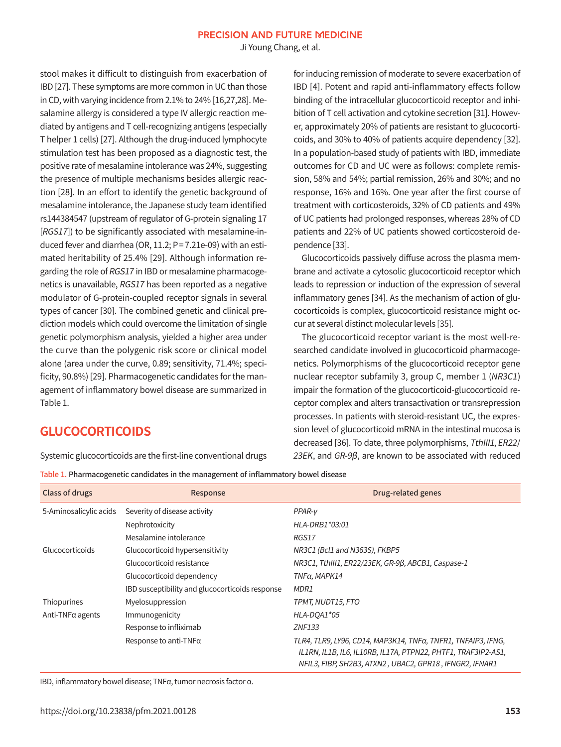Ji Young Chang, et al.

stool makes it difficult to distinguish from exacerbation of IBD [27]. These symptoms are more common in UC than those in CD, with varying incidence from 2.1% to 24% [16,27,28]. Mesalamine allergy is considered a type IV allergic reaction mediated by antigens and T cell-recognizing antigens (especially T helper 1 cells) [27]. Although the drug-induced lymphocyte stimulation test has been proposed as a diagnostic test, the positive rate of mesalamine intolerance was 24%, suggesting the presence of multiple mechanisms besides allergic reaction [28]. In an effort to identify the genetic background of mesalamine intolerance, the Japanese study team identified rs144384547 (upstream of regulator of G-protein signaling 17 [RGS17]) to be significantly associated with mesalamine-induced fever and diarrhea (OR, 11.2; P= 7.21e-09) with an estimated heritability of 25.4% [29]. Although information regarding the role of RGS17 in IBD or mesalamine pharmacogenetics is unavailable, RGS17 has been reported as a negative modulator of G-protein-coupled receptor signals in several types of cancer [30]. The combined genetic and clinical prediction models which could overcome the limitation of single genetic polymorphism analysis, yielded a higher area under the curve than the polygenic risk score or clinical model alone (area under the curve, 0.89; sensitivity, 71.4%; specificity, 90.8%) [29]. Pharmacogenetic candidates for the management of inflammatory bowel disease are summarized in Table 1.

for inducing remission of moderate to severe exacerbation of IBD [4]. Potent and rapid anti-inflammatory effects follow binding of the intracellular glucocorticoid receptor and inhibition of T cell activation and cytokine secretion [31]. However, approximately 20% of patients are resistant to glucocorticoids, and 30% to 40% of patients acquire dependency [32]. In a population-based study of patients with IBD, immediate outcomes for CD and UC were as follows: complete remission, 58% and 54%; partial remission, 26% and 30%; and no response, 16% and 16%. One year after the first course of treatment with corticosteroids, 32% of CD patients and 49% of UC patients had prolonged responses, whereas 28% of CD patients and 22% of UC patients showed corticosteroid dependence [33].

Glucocorticoids passively diffuse across the plasma membrane and activate a cytosolic glucocorticoid receptor which leads to repression or induction of the expression of several inflammatory genes [34]. As the mechanism of action of glucocorticoids is complex, glucocorticoid resistance might occur at several distinct molecular levels [35].

The glucocorticoid receptor variant is the most well-researched candidate involved in glucocorticoid pharmacogenetics. Polymorphisms of the glucocorticoid receptor gene nuclear receptor subfamily 3, group C, member 1 (NR3C1) impair the formation of the glucocorticoid-glucocorticoid receptor complex and alters transactivation or transrepression processes. In patients with steroid-resistant UC, the expression level of glucocorticoid mRNA in the intestinal mucosa is decreased [36]. To date, three polymorphisms, TthIII1, ER22/ 23EK, and GR-9β, are known to be associated with reduced

**GLUCOCORTICOIDS**

Systemic glucocorticoids are the first-line conventional drugs

Table 1. Pharmacogenetic candidates in the management of inflammatory bowel disease

| Class of drugs           | Response                                        | Drug-related genes                                                                                                                                                                       |
|--------------------------|-------------------------------------------------|------------------------------------------------------------------------------------------------------------------------------------------------------------------------------------------|
| 5-Aminosalicylic acids   | Severity of disease activity                    | $PPAR-V$                                                                                                                                                                                 |
|                          | Nephrotoxicity                                  | HLA-DRB1*03:01                                                                                                                                                                           |
|                          | Mesalamine intolerance                          | RGS17                                                                                                                                                                                    |
| Glucocorticoids          | Glucocorticoid hypersensitivity                 | NR3C1 (Bcl1 and N363S), FKBP5                                                                                                                                                            |
|                          | Glucocorticoid resistance                       | NR3C1, TthIII1, ER22/23EK, GR-9ß, ABCB1, Caspase-1                                                                                                                                       |
|                          | Glucocorticoid dependency                       | TNFα, MAPK14                                                                                                                                                                             |
|                          | IBD susceptibility and glucocorticoids response | MDR1                                                                                                                                                                                     |
| Thiopurines              | Myelosuppression                                | TPMT, NUDT15, FTO                                                                                                                                                                        |
| Anti-TNF $\alpha$ agents | Immunogenicity                                  | HLA-DOA1*05                                                                                                                                                                              |
|                          | Response to infliximab                          | <b>ZNF133</b>                                                                                                                                                                            |
|                          | Response to anti-TNFa                           | TLR4, TLR9, LY96, CD14, MAP3K14, TNFa, TNFR1, TNFAIP3, IFNG,<br>IL1RN, IL1B, IL6, IL10RB, IL17A, PTPN22, PHTF1, TRAF3IP2-AS1,<br>NFIL3, FIBP, SH2B3, ATXN2, UBAC2, GPR18, IFNGR2, IFNAR1 |

IBD, inflammatory bowel disease; TNFα, tumor necrosis factor α.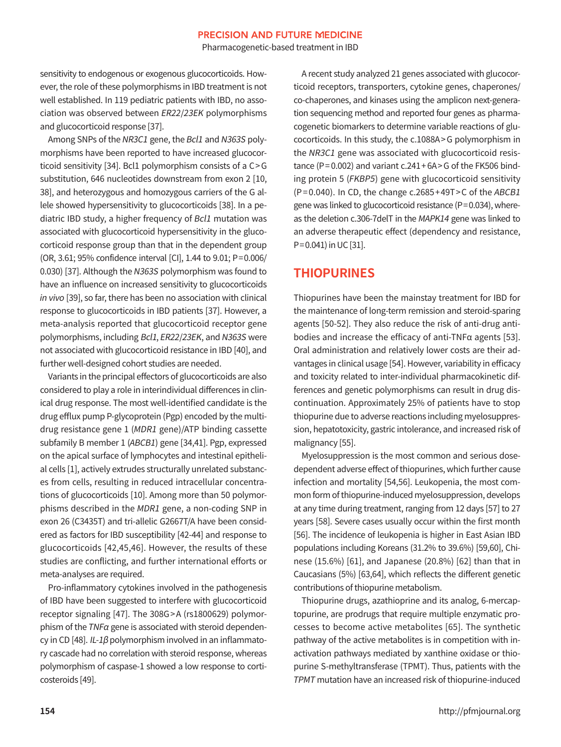Pharmacogenetic-based treatment in IBD

sensitivity to endogenous or exogenous glucocorticoids. However, the role of these polymorphisms in IBD treatment is not well established. In 119 pediatric patients with IBD, no association was observed between ER22/23EK polymorphisms and glucocorticoid response [37].

Among SNPs of the NR3C1 gene, the Bcl1 and N363S polymorphisms have been reported to have increased glucocorticoid sensitivity [34]. Bcl1 polymorphism consists of a C> G substitution, 646 nucleotides downstream from exon 2 [10, 38], and heterozygous and homozygous carriers of the G allele showed hypersensitivity to glucocorticoids [38]. In a pediatric IBD study, a higher frequency of Bcl1 mutation was associated with glucocorticoid hypersensitivity in the glucocorticoid response group than that in the dependent group (OR, 3.61; 95% confidence interval [CI], 1.44 to 9.01; P=0.006/ 0.030) [37]. Although the N363S polymorphism was found to have an influence on increased sensitivity to glucocorticoids in vivo [39], so far, there has been no association with clinical response to glucocorticoids in IBD patients [37]. However, a meta-analysis reported that glucocorticoid receptor gene polymorphisms, including Bcl1, ER22/23EK, and N363S were not associated with glucocorticoid resistance in IBD [40], and further well-designed cohort studies are needed.

Variants in the principal effectors of glucocorticoids are also considered to play a role in interindividual differences in clinical drug response. The most well-identified candidate is the drug efflux pump P-glycoprotein (Pgp) encoded by the multidrug resistance gene 1 (MDR1 gene)/ATP binding cassette subfamily B member 1 (ABCB1) gene [34,41]. Pgp, expressed on the apical surface of lymphocytes and intestinal epithelial cells [1], actively extrudes structurally unrelated substances from cells, resulting in reduced intracellular concentrations of glucocorticoids [10]. Among more than 50 polymorphisms described in the MDR1 gene, a non-coding SNP in exon 26 (C3435T) and tri-allelic G2667T/A have been considered as factors for IBD susceptibility [42-44] and response to glucocorticoids [42,45,46]. However, the results of these studies are conflicting, and further international efforts or meta-analyses are required.

Pro-inflammatory cytokines involved in the pathogenesis of IBD have been suggested to interfere with glucocorticoid receptor signaling [47]. The 308G >A (rs1800629) polymorphism of the TNFα gene is associated with steroid dependency in CD [48]. IL-1 $\beta$  polymorphism involved in an inflammatory cascade had no correlation with steroid response, whereas polymorphism of caspase-1 showed a low response to corticosteroids [49].

A recent study analyzed 21 genes associated with glucocorticoid receptors, transporters, cytokine genes, chaperones/ co-chaperones, and kinases using the amplicon next-generation sequencing method and reported four genes as pharmacogenetic biomarkers to determine variable reactions of glucocorticoids. In this study, the c.1088A> G polymorphism in the NR3C1 gene was associated with glucocorticoid resistance (P=  $0.002$ ) and variant c.241 +  $6A > G$  of the FK506 binding protein 5 (FKBP5) gene with glucocorticoid sensitivity  $(P=0.040)$ . In CD, the change c.2685 +49T > C of the ABCB1 gene was linked to glucocorticoid resistance (P=0.034), whereas the deletion c.306-7delT in the MAPK14 gene was linked to an adverse therapeutic effect (dependency and resistance, P=0.041) in UC [31].

### **THIOPURINES**

Thiopurines have been the mainstay treatment for IBD for the maintenance of long-term remission and steroid-sparing agents [50-52]. They also reduce the risk of anti-drug antibodies and increase the efficacy of anti-TNFα agents [53]. Oral administration and relatively lower costs are their advantages in clinical usage [54]. However, variability in efficacy and toxicity related to inter-individual pharmacokinetic differences and genetic polymorphisms can result in drug discontinuation. Approximately 25% of patients have to stop thiopurine due to adverse reactions including myelosuppression, hepatotoxicity, gastric intolerance, and increased risk of malignancy [55].

Myelosuppression is the most common and serious dosedependent adverse effect of thiopurines, which further cause infection and mortality [54,56]. Leukopenia, the most common form of thiopurine-induced myelosuppression, develops at any time during treatment, ranging from 12 days [57] to 27 years [58]. Severe cases usually occur within the first month [56]. The incidence of leukopenia is higher in East Asian IBD populations including Koreans (31.2% to 39.6%) [59,60], Chinese (15.6%) [61], and Japanese (20.8%) [62] than that in Caucasians (5%) [63,64], which reflects the different genetic contributions of thiopurine metabolism.

Thiopurine drugs, azathioprine and its analog, 6-mercaptopurine, are prodrugs that require multiple enzymatic processes to become active metabolites [65]. The synthetic pathway of the active metabolites is in competition with inactivation pathways mediated by xanthine oxidase or thiopurine S-methyltransferase (TPMT). Thus, patients with the TPMT mutation have an increased risk of thiopurine-induced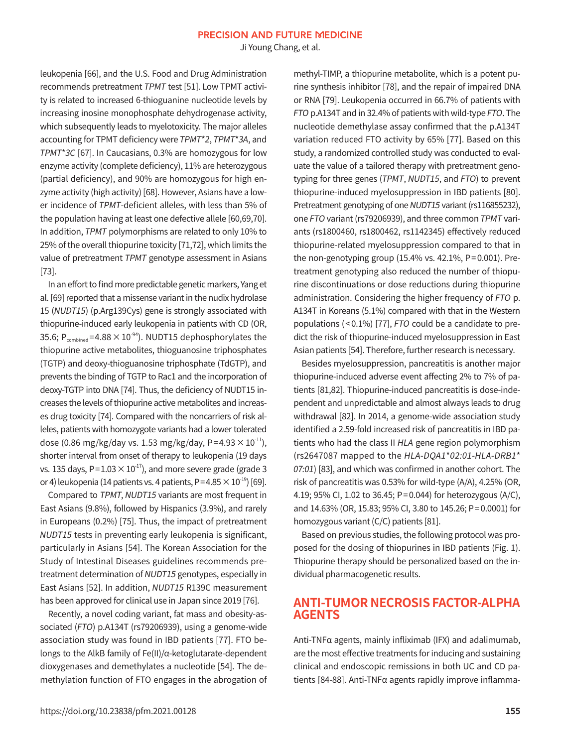Ji Young Chang, et al.

leukopenia [66], and the U.S. Food and Drug Administration recommends pretreatment TPMT test [51]. Low TPMT activity is related to increased 6-thioguanine nucleotide levels by increasing inosine monophosphate dehydrogenase activity, which subsequently leads to myelotoxicity. The major alleles accounting for TPMT deficiency were TPMT\*2, TPMT\*3A, and TPMT\*3C [67]. In Caucasians, 0.3% are homozygous for low enzyme activity (complete deficiency), 11% are heterozygous (partial deficiency), and 90% are homozygous for high enzyme activity (high activity) [68]. However, Asians have a lower incidence of TPMT-deficient alleles, with less than 5% of the population having at least one defective allele [60,69,70]. In addition, TPMT polymorphisms are related to only 10% to 25% of the overall thiopurine toxicity [71,72], which limits the value of pretreatment TPMT genotype assessment in Asians [73].

In an effort to find more predictable genetic markers, Yang et al. [69] reported that a missense variant in the nudix hydrolase 15 (NUDT15) (p.Arg139Cys) gene is strongly associated with thiopurine-induced early leukopenia in patients with CD (OR, 35.6;  $P_{combined} = 4.88 \times 10^{-94}$ ). NUDT15 dephosphorylates the thiopurine active metabolites, thioguanosine triphosphates (TGTP) and deoxy-thioguanosine triphosphate (TdGTP), and prevents the binding of TGTP to Rac1 and the incorporation of deoxy-TGTP into DNA [74]. Thus, the deficiency of NUDT15 increases the levels of thiopurine active metabolites and increases drug toxicity [74]. Compared with the noncarriers of risk alleles, patients with homozygote variants had a lower tolerated dose (0.86 mg/kg/day vs. 1.53 mg/kg/day, P=4.93  $\times$  10<sup>-11</sup>), shorter interval from onset of therapy to leukopenia (19 days vs. 135 days, P=1.03  $\times$  10<sup>-17</sup>), and more severe grade (grade 3 or 4) leukopenia (14 patients vs. 4 patients, P=4.85  $\times$  10<sup>-19</sup>) [69].

Compared to TPMT, NUDT15 variants are most frequent in East Asians (9.8%), followed by Hispanics (3.9%), and rarely in Europeans (0.2%) [75]. Thus, the impact of pretreatment NUDT15 tests in preventing early leukopenia is significant, particularly in Asians [54]. The Korean Association for the Study of Intestinal Diseases guidelines recommends pretreatment determination of NUDT15 genotypes, especially in East Asians [52]. In addition, NUDT15 R139C measurement has been approved for clinical use in Japan since 2019 [76].

Recently, a novel coding variant, fat mass and obesity-associated (FTO) p.A134T (rs79206939), using a genome-wide association study was found in IBD patients [77]. FTO belongs to the AlkB family of Fe(II)/α-ketoglutarate-dependent dioxygenases and demethylates a nucleotide [54]. The demethylation function of FTO engages in the abrogation of methyl-TIMP, a thiopurine metabolite, which is a potent purine synthesis inhibitor [78], and the repair of impaired DNA or RNA [79]. Leukopenia occurred in 66.7% of patients with FTO p.A134T and in 32.4% of patients with wild-type FTO. The nucleotide demethylase assay confirmed that the p.A134T variation reduced FTO activity by 65% [77]. Based on this study, a randomized controlled study was conducted to evaluate the value of a tailored therapy with pretreatment genotyping for three genes (TPMT, NUDT15, and FTO) to prevent thiopurine-induced myelosuppression in IBD patients [80]. Pretreatment genotyping of one NUDT15 variant (rs116855232), one FTO variant (rs79206939), and three common TPMT variants (rs1800460, rs1800462, rs1142345) effectively reduced thiopurine-related myelosuppression compared to that in the non-genotyping group (15.4% vs. 42.1%, P= 0.001). Pretreatment genotyping also reduced the number of thiopurine discontinuations or dose reductions during thiopurine administration. Considering the higher frequency of FTO p. A134T in Koreans (5.1%) compared with that in the Western populations (< 0.1%) [77], FTO could be a candidate to predict the risk of thiopurine-induced myelosuppression in East Asian patients [54]. Therefore, further research is necessary.

Besides myelosuppression, pancreatitis is another major thiopurine-induced adverse event affecting 2% to 7% of patients [81,82]. Thiopurine-induced pancreatitis is dose-independent and unpredictable and almost always leads to drug withdrawal [82]. In 2014, a genome-wide association study identified a 2.59-fold increased risk of pancreatitis in IBD patients who had the class II HLA gene region polymorphism (rs2647087 mapped to the HLA-DQA1\*02:01-HLA-DRB1\* 07:01) [83], and which was confirmed in another cohort. The risk of pancreatitis was 0.53% for wild-type (A/A), 4.25% (OR, 4.19; 95% CI, 1.02 to 36.45; P= 0.044) for heterozygous (A/C), and 14.63% (OR, 15.83; 95% CI, 3.80 to 145.26; P= 0.0001) for homozygous variant (C/C) patients [81].

Based on previous studies, the following protocol was proposed for the dosing of thiopurines in IBD patients (Fig. 1). Thiopurine therapy should be personalized based on the individual pharmacogenetic results.

### **ANTI-TUMOR NECROSIS FACTOR-ALPHA AGENTS**

Anti-TNFα agents, mainly infliximab (IFX) and adalimumab, are the most effective treatments for inducing and sustaining clinical and endoscopic remissions in both UC and CD patients [84-88]. Anti-TNFα agents rapidly improve inflamma-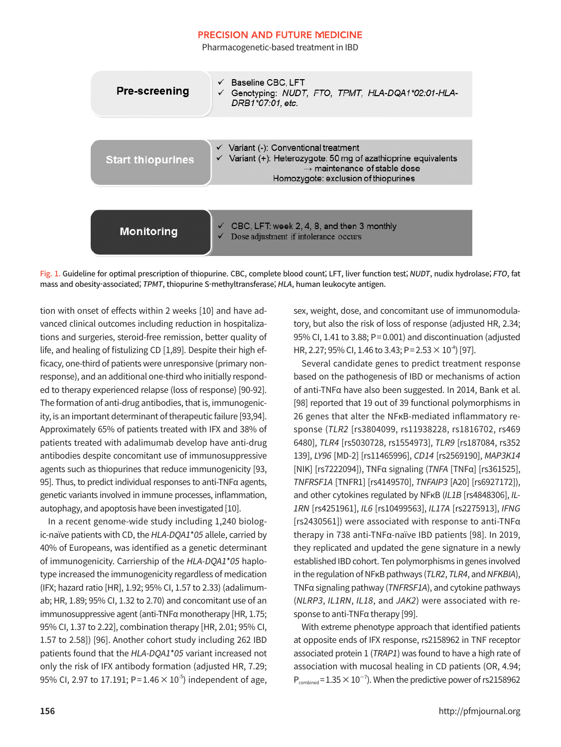Pharmacogenetic-based treatment in IBD

| <b>Pre-screening</b>     | Baseline CBC, LFT<br>Genotyping: NUDT, FTO, TPMT, HLA-DQA1*02:01-HLA-<br>✓<br>DRB1*07:01, etc.                                                                                                                    |
|--------------------------|-------------------------------------------------------------------------------------------------------------------------------------------------------------------------------------------------------------------|
|                          |                                                                                                                                                                                                                   |
| <b>Start thiopurines</b> | $\checkmark$ Variant (-): Conventional treatment<br>$\checkmark$ Variant (+): Heterozygote: 50 mg of azathioprine equivalents<br>$\rightarrow$ maintenance of stable dose<br>Homozygote: exclusion of thiopurines |
|                          |                                                                                                                                                                                                                   |
| <b>Monitoring</b>        | CBC, LFT: week 2, 4, 8, and then 3 monthly<br>Dose adjustment if intolerance occurs                                                                                                                               |

Fig. 1. Guideline for optimal prescription of thiopurine. CBC, complete blood count; LFT, liver function test; NUDT, nudix hydrolase; FTO, fat mass and obesity-associated; TPMT, thiopurine S-methyltransferase; HLA, human leukocyte antigen.

tion with onset of effects within 2 weeks [10] and have advanced clinical outcomes including reduction in hospitalizations and surgeries, steroid-free remission, better quality of life, and healing of fistulizing CD [1,89]. Despite their high efficacy, one-third of patients were unresponsive (primary nonresponse), and an additional one-third who initially responded to therapy experienced relapse (loss of response) [90-92]. The formation of anti-drug antibodies, that is, immunogenicity, is an important determinant of therapeutic failure [93,94]. Approximately 65% of patients treated with IFX and 38% of patients treated with adalimumab develop have anti-drug antibodies despite concomitant use of immunosuppressive agents such as thiopurines that reduce immunogenicity [93, 95]. Thus, to predict individual responses to anti-TNFα agents, genetic variants involved in immune processes, inflammation, autophagy, and apoptosis have been investigated [10].

In a recent genome-wide study including 1,240 biologic-naïve patients with CD, the HLA-DQA1\*05 allele, carried by 40% of Europeans, was identified as a genetic determinant of immunogenicity. Carriership of the HLA-DQA1\*05 haplotype increased the immunogenicity regardless of medication (IFX; hazard ratio [HR], 1.92; 95% CI, 1.57 to 2.33) (adalimumab; HR, 1.89; 95% CI, 1.32 to 2.70) and concomitant use of an immunosuppressive agent (anti-TNFα monotherapy [HR, 1.75; 95% CI, 1.37 to 2.22], combination therapy [HR, 2.01; 95% CI, 1.57 to 2.58]) [96]. Another cohort study including 262 IBD patients found that the HLA-DQA1\*05 variant increased not only the risk of IFX antibody formation (adjusted HR, 7.29; 95% CI, 2.97 to 17.191; P=1.46  $\times$  10<sup>-5</sup>) independent of age, sex, weight, dose, and concomitant use of immunomodulatory, but also the risk of loss of response (adjusted HR, 2.34; 95% CI, 1.41 to 3.88; P= 0.001) and discontinuation (adjusted HR, 2.27; 95% CI, 1.46 to 3.43; P =  $2.53 \times 10^{-4}$  [97].

Several candidate genes to predict treatment response based on the pathogenesis of IBD or mechanisms of action of anti-TNFα have also been suggested. In 2014, Bank et al. [98] reported that 19 out of 39 functional polymorphisms in 26 genes that alter the NFκB-mediated inflammatory response (TLR2 [rs3804099, rs11938228, rs1816702, rs469 6480], TLR4 [rs5030728, rs1554973], TLR9 [rs187084, rs352 139], LY96 [MD-2] [rs11465996], CD14 [rs2569190], MAP3K14 [NIK] [rs7222094]), TNFα signaling (TNFA [TNFα] [rs361525], TNFRSF1A [TNFR1] [rs4149570], TNFAIP3 [A20] [rs6927172]), and other cytokines regulated by NFκB (IL1B [rs4848306], IL-1RN [rs4251961], IL6 [rs10499563], IL17A [rs2275913], IFNG [ $rs2430561$ ]) were associated with response to anti-TNF $\alpha$ therapy in 738 anti-TNFα-naïve IBD patients [98]. In 2019, they replicated and updated the gene signature in a newly established IBD cohort. Ten polymorphisms in genes involved in the regulation of NF<sub>K</sub>B pathways (TLR2, TLR4, and NFKBIA), TNFα signaling pathway (TNFRSF1A), and cytokine pathways (NLRP3, IL1RN, IL18, and JAK2) were associated with response to anti-TNFα therapy [99].

With extreme phenotype approach that identified patients at opposite ends of IFX response, rs2158962 in TNF receptor associated protein 1 (TRAP1) was found to have a high rate of association with mucosal healing in CD patients (OR, 4.94;  $P_{combined} = 1.35 \times 10^{-7}$ ). When the predictive power of rs2158962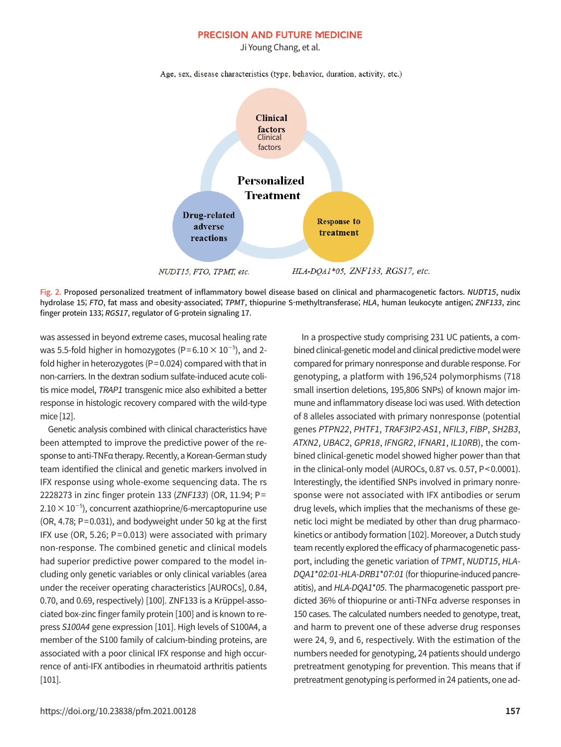Ji Young Chang, et al.

Age, sex, disease characteristics (type, behavior, duration, activity, etc.)



Fig. 2. Proposed personalized treatment of inflammatory bowel disease based on clinical and pharmacogenetic factors. NUDT15, nudix hydrolase 15; FTO, fat mass and obesity-associated; TPMT, thiopurine S-methyltransferase; HLA, human leukocyte antigen; ZNF133, zinc finger protein 133; RGS17, regulator of G-protein signaling 17.

was assessed in beyond extreme cases, mucosal healing rate was 5.5-fold higher in homozygotes (P= $6.10 \times 10^{-5}$ ), and 2fold higher in heterozygotes ( $P = 0.024$ ) compared with that in non-carriers. In the dextran sodium sulfate-induced acute colitis mice model, TRAP1 transgenic mice also exhibited a better response in histologic recovery compared with the wild-type mice [12].

Genetic analysis combined with clinical characteristics have been attempted to improve the predictive power of the response to anti-TNFα therapy. Recently, a Korean-German study team identified the clinical and genetic markers involved in IFX response using whole-exome sequencing data. The rs 2228273 in zinc finger protein 133 (ZNF133) (OR, 11.94; P=  $2.10 \times 10^{-5}$ ), concurrent azathioprine/6-mercaptopurine use (OR, 4.78; P=0.031), and bodyweight under 50 kg at the first IFX use (OR, 5.26;  $P = 0.013$ ) were associated with primary non-response. The combined genetic and clinical models had superior predictive power compared to the model including only genetic variables or only clinical variables (area under the receiver operating characteristics [AUROCs], 0.84, 0.70, and 0.69, respectively) [100]. ZNF133 is a Krüppel-associated box-zinc finger family protein [100] and is known to repress S100A4 gene expression [101]. High levels of S100A4, a member of the S100 family of calcium-binding proteins, are associated with a poor clinical IFX response and high occurrence of anti-IFX antibodies in rheumatoid arthritis patients [101].

In a prospective study comprising 231 UC patients, a combined clinical-genetic model and clinical predictive model were compared for primary nonresponse and durable response. For genotyping, a platform with 196,524 polymorphisms (718 small insertion deletions, 195,806 SNPs) of known major immune and inflammatory disease loci was used. With detection of 8 alleles associated with primary nonresponse (potential genes PTPN22, PHTF1, TRAF3IP2-AS1, NFIL3, FIBP, SH2B3, ATXN2, UBAC2, GPR18, IFNGR2, IFNAR1, IL10RB), the combined clinical-genetic model showed higher power than that in the clinical-only model (AUROCs, 0.87 vs. 0.57, P< 0.0001). Interestingly, the identified SNPs involved in primary nonresponse were not associated with IFX antibodies or serum drug levels, which implies that the mechanisms of these genetic loci might be mediated by other than drug pharmacokinetics or antibody formation [102]. Moreover, a Dutch study team recently explored the efficacy of pharmacogenetic passport, including the genetic variation of TPMT, NUDT15, HLA-DQA1\*02:01-HLA-DRB1\*07:01 (for thiopurine-induced pancreatitis), and HLA-DQA1\*05. The pharmacogenetic passport predicted 36% of thiopurine or anti-TNFα adverse responses in 150 cases. The calculated numbers needed to genotype, treat, and harm to prevent one of these adverse drug responses were 24, 9, and 6, respectively. With the estimation of the numbers needed for genotyping, 24 patients should undergo pretreatment genotyping for prevention. This means that if pretreatment genotyping is performed in 24 patients, one ad-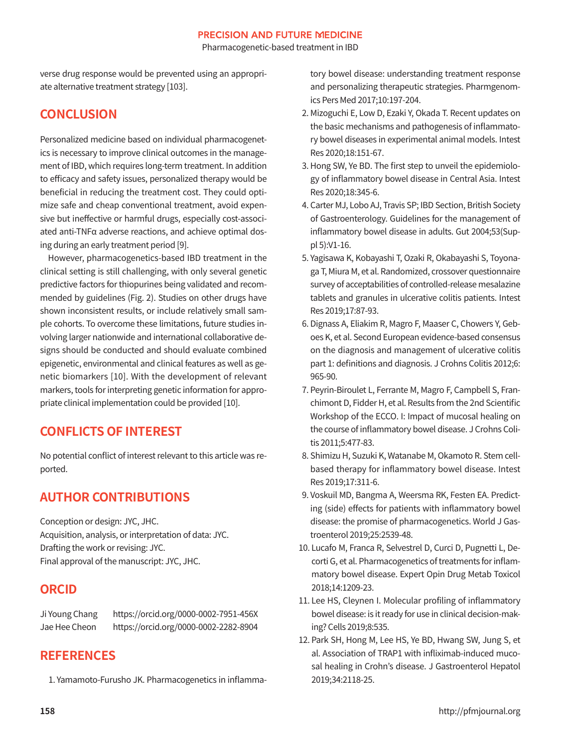Pharmacogenetic-based treatment in IBD

verse drug response would be prevented using an appropriate alternative treatment strategy [103].

# **CONCLUSION**

Personalized medicine based on individual pharmacogenetics is necessary to improve clinical outcomes in the management of IBD, which requires long-term treatment. In addition to efficacy and safety issues, personalized therapy would be beneficial in reducing the treatment cost. They could optimize safe and cheap conventional treatment, avoid expensive but ineffective or harmful drugs, especially cost-associated anti-TNFα adverse reactions, and achieve optimal dosing during an early treatment period [9].

However, pharmacogenetics-based IBD treatment in the clinical setting is still challenging, with only several genetic predictive factors for thiopurines being validated and recommended by guidelines (Fig. 2). Studies on other drugs have shown inconsistent results, or include relatively small sample cohorts. To overcome these limitations, future studies involving larger nationwide and international collaborative designs should be conducted and should evaluate combined epigenetic, environmental and clinical features as well as genetic biomarkers [10]. With the development of relevant markers, tools for interpreting genetic information for appropriate clinical implementation could be provided [10].

# **CONFLICTS OF INTEREST**

No potential conflict of interest relevant to this article was reported.

# **AUTHOR CONTRIBUTIONS**

Conception or design: JYC, JHC. Acquisition, analysis, or interpretation of data: JYC. Drafting the work or revising: JYC. Final approval of the manuscript: JYC, JHC.

# **ORCID**

Ji Young Chang https://orcid.org/0000-0002-7951-456X Jae Hee Cheon https://orcid.org/0000-0002-2282-8904

# **REFERENCES**

1. Yamamoto-Furusho JK. Pharmacogenetics in inflamma-

tory bowel disease: understanding treatment response and personalizing therapeutic strategies. Pharmgenomics Pers Med 2017;10:197-204.

- 2. Mizoguchi E, Low D, Ezaki Y, Okada T. Recent updates on the basic mechanisms and pathogenesis of inflammatory bowel diseases in experimental animal models. Intest Res 2020;18:151-67.
- 3. Hong SW, Ye BD. The first step to unveil the epidemiology of inflammatory bowel disease in Central Asia. Intest Res 2020;18:345-6.
- 4. Carter MJ, Lobo AJ, Travis SP; IBD Section, British Society of Gastroenterology. Guidelines for the management of inflammatory bowel disease in adults. Gut 2004;53(Suppl 5):V1-16.
- 5. Yagisawa K, Kobayashi T, Ozaki R, Okabayashi S, Toyonaga T, Miura M, et al. Randomized, crossover questionnaire survey of acceptabilities of controlled-release mesalazine tablets and granules in ulcerative colitis patients. Intest Res 2019;17:87-93.
- 6. Dignass A, Eliakim R, Magro F, Maaser C, Chowers Y, Geboes K, et al. Second European evidence-based consensus on the diagnosis and management of ulcerative colitis part 1: definitions and diagnosis. J Crohns Colitis 2012;6: 965-90.
- 7. Peyrin-Biroulet L, Ferrante M, Magro F, Campbell S, Franchimont D, Fidder H, et al. Results from the 2nd Scientific Workshop of the ECCO. I: Impact of mucosal healing on the course of inflammatory bowel disease. J Crohns Colitis 2011;5:477-83.
- 8. Shimizu H, Suzuki K, Watanabe M, Okamoto R. Stem cellbased therapy for inflammatory bowel disease. Intest Res 2019;17:311-6.
- 9. Voskuil MD, Bangma A, Weersma RK, Festen EA. Predicting (side) effects for patients with inflammatory bowel disease: the promise of pharmacogenetics. World J Gastroenterol 2019;25:2539-48.
- 10. Lucafo M, Franca R, Selvestrel D, Curci D, Pugnetti L, Decorti G, et al. Pharmacogenetics of treatments for inflammatory bowel disease. Expert Opin Drug Metab Toxicol 2018;14:1209-23.
- 11. Lee HS, Cleynen I. Molecular profiling of inflammatory bowel disease: is it ready for use in clinical decision-making? Cells 2019;8:535.
- 12. Park SH, Hong M, Lee HS, Ye BD, Hwang SW, Jung S, et al. Association of TRAP1 with infliximab-induced mucosal healing in Crohn's disease. J Gastroenterol Hepatol 2019;34:2118-25.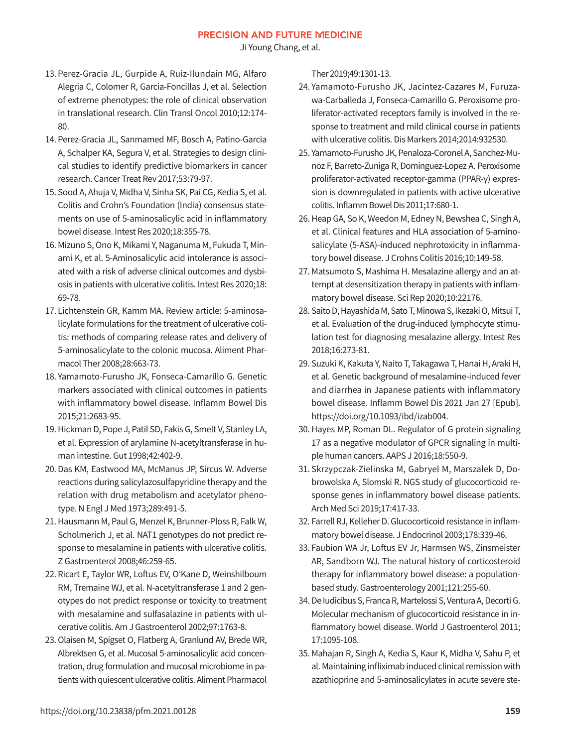Ji Young Chang, et al.

- 13. Perez-Gracia JL, Gurpide A, Ruiz-Ilundain MG, Alfaro Alegria C, Colomer R, Garcia-Foncillas J, et al. Selection of extreme phenotypes: the role of clinical observation in translational research. Clin Transl Oncol 2010;12:174- 80.
- 14. Perez-Gracia JL, Sanmamed MF, Bosch A, Patino-Garcia A, Schalper KA, Segura V, et al. Strategies to design clinical studies to identify predictive biomarkers in cancer research. Cancer Treat Rev 2017;53:79-97.
- 15. Sood A, Ahuja V, Midha V, Sinha SK, Pai CG, Kedia S, et al. Colitis and Crohn's Foundation (India) consensus statements on use of 5-aminosalicylic acid in inflammatory bowel disease. Intest Res 2020;18:355-78.
- 16. Mizuno S, Ono K, Mikami Y, Naganuma M, Fukuda T, Minami K, et al. 5-Aminosalicylic acid intolerance is associated with a risk of adverse clinical outcomes and dysbiosis in patients with ulcerative colitis. Intest Res 2020;18: 69-78.
- 17. Lichtenstein GR, Kamm MA. Review article: 5-aminosalicylate formulations for the treatment of ulcerative colitis: methods of comparing release rates and delivery of 5-aminosalicylate to the colonic mucosa. Aliment Pharmacol Ther 2008;28:663-73.
- 18. Yamamoto-Furusho JK, Fonseca-Camarillo G. Genetic markers associated with clinical outcomes in patients with inflammatory bowel disease. Inflamm Bowel Dis 2015;21:2683-95.
- 19. Hickman D, Pope J, Patil SD, Fakis G, Smelt V, Stanley LA, et al. Expression of arylamine N-acetyltransferase in human intestine. Gut 1998;42:402-9.
- 20. Das KM, Eastwood MA, McManus JP, Sircus W. Adverse reactions during salicylazosulfapyridine therapy and the relation with drug metabolism and acetylator phenotype. N Engl J Med 1973;289:491-5.
- 21. Hausmann M, Paul G, Menzel K, Brunner-Ploss R, Falk W, Scholmerich J, et al. NAT1 genotypes do not predict response to mesalamine in patients with ulcerative colitis. Z Gastroenterol 2008;46:259-65.
- 22. Ricart E, Taylor WR, Loftus EV, O'Kane D, Weinshilboum RM, Tremaine WJ, et al. N-acetyltransferase 1 and 2 genotypes do not predict response or toxicity to treatment with mesalamine and sulfasalazine in patients with ulcerative colitis. Am J Gastroenterol 2002;97:1763-8.
- 23. Olaisen M, Spigset O, Flatberg A, Granlund AV, Brede WR, Albrektsen G, et al. Mucosal 5-aminosalicylic acid concentration, drug formulation and mucosal microbiome in patients with quiescent ulcerative colitis. Aliment Pharmacol

Ther 2019;49:1301-13.

- 24. Yamamoto-Furusho JK, Jacintez-Cazares M, Furuzawa-Carballeda J, Fonseca-Camarillo G. Peroxisome proliferator-activated receptors family is involved in the response to treatment and mild clinical course in patients with ulcerative colitis. Dis Markers 2014;2014:932530.
- 25. Yamamoto-Furusho JK, Penaloza-Coronel A, Sanchez-Munoz F, Barreto-Zuniga R, Dominguez-Lopez A. Peroxisome proliferator-activated receptor-gamma (PPAR-γ) expression is downregulated in patients with active ulcerative colitis. Inflamm Bowel Dis 2011;17:680-1.
- 26. Heap GA, So K, Weedon M, Edney N, Bewshea C, Singh A, et al. Clinical features and HLA association of 5-aminosalicylate (5-ASA)-induced nephrotoxicity in inflammatory bowel disease. J Crohns Colitis 2016;10:149-58.
- 27. Matsumoto S, Mashima H. Mesalazine allergy and an attempt at desensitization therapy in patients with inflammatory bowel disease. Sci Rep 2020;10:22176.
- 28. Saito D, Hayashida M, Sato T, Minowa S, Ikezaki O, Mitsui T, et al. Evaluation of the drug-induced lymphocyte stimulation test for diagnosing mesalazine allergy. Intest Res 2018;16:273-81.
- 29. Suzuki K, Kakuta Y, Naito T, Takagawa T, Hanai H, Araki H, et al. Genetic background of mesalamine-induced fever and diarrhea in Japanese patients with inflammatory bowel disease. Inflamm Bowel Dis 2021 Jan 27 [Epub]. https://doi.org/10.1093/ibd/izab004.
- 30. Hayes MP, Roman DL. Regulator of G protein signaling 17 as a negative modulator of GPCR signaling in multiple human cancers. AAPS J 2016;18:550-9.
- 31. Skrzypczak-Zielinska M, Gabryel M, Marszalek D, Dobrowolska A, Slomski R. NGS study of glucocorticoid response genes in inflammatory bowel disease patients. Arch Med Sci 2019;17:417-33.
- 32. Farrell RJ, Kelleher D. Glucocorticoid resistance in inflammatory bowel disease. J Endocrinol 2003;178:339-46.
- 33. Faubion WA Jr, Loftus EV Jr, Harmsen WS, Zinsmeister AR, Sandborn WJ. The natural history of corticosteroid therapy for inflammatory bowel disease: a populationbased study. Gastroenterology 2001;121:255-60.
- 34. De Iudicibus S, Franca R, Martelossi S, Ventura A, Decorti G. Molecular mechanism of glucocorticoid resistance in inflammatory bowel disease. World J Gastroenterol 2011; 17:1095-108.
- 35. Mahajan R, Singh A, Kedia S, Kaur K, Midha V, Sahu P, et al. Maintaining infliximab induced clinical remission with azathioprine and 5-aminosalicylates in acute severe ste-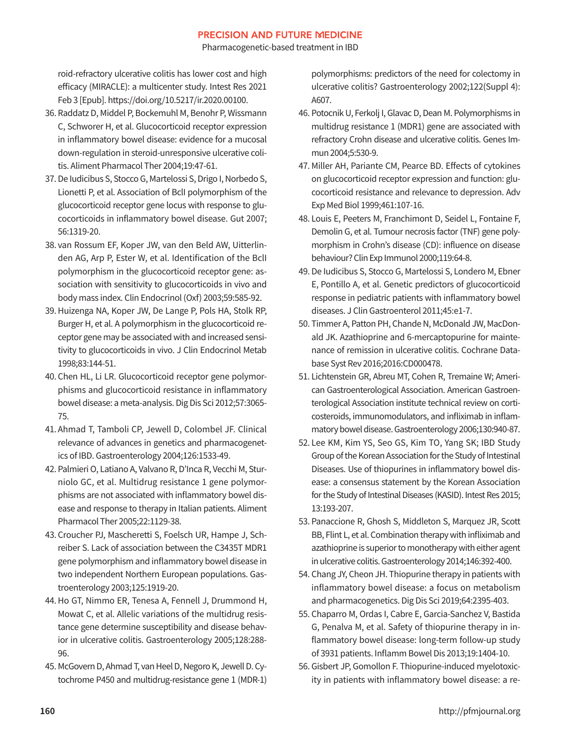Pharmacogenetic-based treatment in IBD

roid-refractory ulcerative colitis has lower cost and high efficacy (MIRACLE): a multicenter study. Intest Res 2021 Feb 3 [Epub]. https://doi.org/10.5217/ir.2020.00100.

- 36. Raddatz D, Middel P, Bockemuhl M, Benohr P, Wissmann C, Schworer H, et al. Glucocorticoid receptor expression in inflammatory bowel disease: evidence for a mucosal down-regulation in steroid-unresponsive ulcerative colitis. Aliment Pharmacol Ther 2004;19:47-61.
- 37. De Iudicibus S, Stocco G, Martelossi S, Drigo I, Norbedo S, Lionetti P, et al. Association of BclI polymorphism of the glucocorticoid receptor gene locus with response to glucocorticoids in inflammatory bowel disease. Gut 2007; 56:1319-20.
- 38. van Rossum EF, Koper JW, van den Beld AW, Uitterlinden AG, Arp P, Ester W, et al. Identification of the BclI polymorphism in the glucocorticoid receptor gene: association with sensitivity to glucocorticoids in vivo and body mass index. Clin Endocrinol (Oxf) 2003;59:585-92.
- 39. Huizenga NA, Koper JW, De Lange P, Pols HA, Stolk RP, Burger H, et al. A polymorphism in the glucocorticoid receptor gene may be associated with and increased sensitivity to glucocorticoids in vivo. J Clin Endocrinol Metab 1998;83:144-51.
- 40. Chen HL, Li LR. Glucocorticoid receptor gene polymorphisms and glucocorticoid resistance in inflammatory bowel disease: a meta-analysis. Dig Dis Sci 2012;57:3065- 75.
- 41. Ahmad T, Tamboli CP, Jewell D, Colombel JF. Clinical relevance of advances in genetics and pharmacogenetics of IBD. Gastroenterology 2004;126:1533-49.
- 42. Palmieri O, Latiano A, Valvano R, D'Inca R, Vecchi M, Sturniolo GC, et al. Multidrug resistance 1 gene polymorphisms are not associated with inflammatory bowel disease and response to therapy in Italian patients. Aliment Pharmacol Ther 2005;22:1129-38.
- 43. Croucher PJ, Mascheretti S, Foelsch UR, Hampe J, Schreiber S. Lack of association between the C3435T MDR1 gene polymorphism and inflammatory bowel disease in two independent Northern European populations. Gastroenterology 2003;125:1919-20.
- 44. Ho GT, Nimmo ER, Tenesa A, Fennell J, Drummond H, Mowat C, et al. Allelic variations of the multidrug resistance gene determine susceptibility and disease behavior in ulcerative colitis. Gastroenterology 2005;128:288- 96.
- 45. McGovern D, Ahmad T, van Heel D, Negoro K, Jewell D. Cytochrome P450 and multidrug-resistance gene 1 (MDR-1)

polymorphisms: predictors of the need for colectomy in ulcerative colitis? Gastroenterology 2002;122(Suppl 4): A607.

- 46. Potocnik U, Ferkolj I, Glavac D, Dean M. Polymorphisms in multidrug resistance 1 (MDR1) gene are associated with refractory Crohn disease and ulcerative colitis. Genes Immun 2004;5:530-9.
- 47. Miller AH, Pariante CM, Pearce BD. Effects of cytokines on glucocorticoid receptor expression and function: glucocorticoid resistance and relevance to depression. Adv Exp Med Biol 1999;461:107-16.
- 48. Louis E, Peeters M, Franchimont D, Seidel L, Fontaine F, Demolin G, et al. Tumour necrosis factor (TNF) gene polymorphism in Crohn's disease (CD): influence on disease behaviour? Clin Exp Immunol 2000;119:64-8.
- 49. De Iudicibus S, Stocco G, Martelossi S, Londero M, Ebner E, Pontillo A, et al. Genetic predictors of glucocorticoid response in pediatric patients with inflammatory bowel diseases. J Clin Gastroenterol 2011;45:e1-7.
- 50. Timmer A, Patton PH, Chande N, McDonald JW, MacDonald JK. Azathioprine and 6-mercaptopurine for maintenance of remission in ulcerative colitis. Cochrane Database Syst Rev 2016;2016:CD000478.
- 51. Lichtenstein GR, Abreu MT, Cohen R, Tremaine W; American Gastroenterological Association. American Gastroenterological Association institute technical review on corticosteroids, immunomodulators, and infliximab in inflammatory bowel disease. Gastroenterology 2006;130:940-87.
- 52. Lee KM, Kim YS, Seo GS, Kim TO, Yang SK; IBD Study Group of the Korean Association for the Study of Intestinal Diseases. Use of thiopurines in inflammatory bowel disease: a consensus statement by the Korean Association for the Study of Intestinal Diseases (KASID). Intest Res 2015; 13:193-207.
- 53. Panaccione R, Ghosh S, Middleton S, Marquez JR, Scott BB, Flint L, et al. Combination therapy with infliximab and azathioprine is superior to monotherapy with either agent in ulcerative colitis. Gastroenterology 2014;146:392-400.
- 54. Chang JY, Cheon JH. Thiopurine therapy in patients with inflammatory bowel disease: a focus on metabolism and pharmacogenetics. Dig Dis Sci 2019;64:2395-403.
- 55. Chaparro M, Ordas I, Cabre E, Garcia-Sanchez V, Bastida G, Penalva M, et al. Safety of thiopurine therapy in inflammatory bowel disease: long-term follow-up study of 3931 patients. Inflamm Bowel Dis 2013;19:1404-10.
- 56. Gisbert JP, Gomollon F. Thiopurine-induced myelotoxicity in patients with inflammatory bowel disease: a re-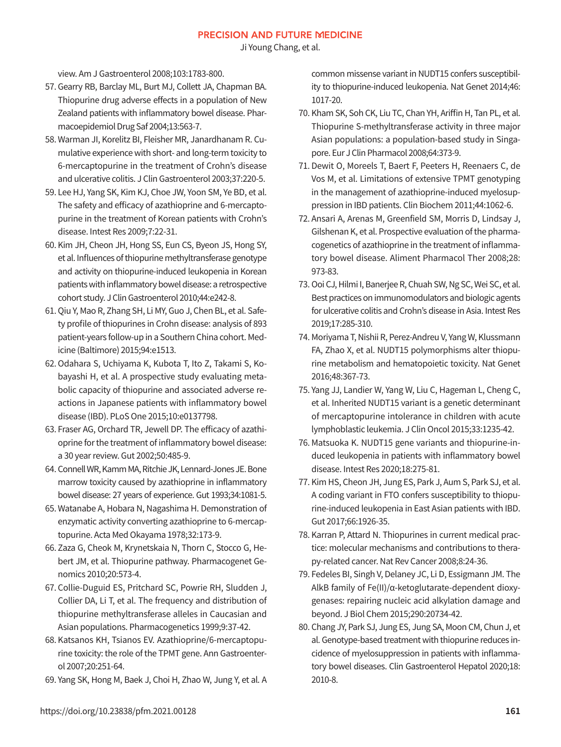Ji Young Chang, et al.

view. Am J Gastroenterol 2008;103:1783-800.

- 57. Gearry RB, Barclay ML, Burt MJ, Collett JA, Chapman BA. Thiopurine drug adverse effects in a population of New Zealand patients with inflammatory bowel disease. Pharmacoepidemiol Drug Saf 2004;13:563-7.
- 58. Warman JI, Korelitz BI, Fleisher MR, Janardhanam R. Cumulative experience with short- and long-term toxicity to 6-mercaptopurine in the treatment of Crohn's disease and ulcerative colitis. J Clin Gastroenterol 2003;37:220-5.
- 59. Lee HJ, Yang SK, Kim KJ, Choe JW, Yoon SM, Ye BD, et al. The safety and efficacy of azathioprine and 6-mercaptopurine in the treatment of Korean patients with Crohn's disease. Intest Res 2009;7:22-31.
- 60. Kim JH, Cheon JH, Hong SS, Eun CS, Byeon JS, Hong SY, et al. Influences of thiopurine methyltransferase genotype and activity on thiopurine-induced leukopenia in Korean patients with inflammatory bowel disease: a retrospective cohort study. J Clin Gastroenterol 2010;44:e242-8.
- 61. Qiu Y, Mao R, Zhang SH, Li MY, Guo J, Chen BL, et al. Safety profile of thiopurines in Crohn disease: analysis of 893 patient-years follow-up in a Southern China cohort. Medicine (Baltimore) 2015;94:e1513.
- 62. Odahara S, Uchiyama K, Kubota T, Ito Z, Takami S, Kobayashi H, et al. A prospective study evaluating metabolic capacity of thiopurine and associated adverse reactions in Japanese patients with inflammatory bowel disease (IBD). PLoS One 2015;10:e0137798.
- 63. Fraser AG, Orchard TR, Jewell DP. The efficacy of azathioprine for the treatment of inflammatory bowel disease: a 30 year review. Gut 2002;50:485-9.
- 64. Connell WR, Kamm MA, Ritchie JK, Lennard-Jones JE. Bone marrow toxicity caused by azathioprine in inflammatory bowel disease: 27 years of experience. Gut 1993;34:1081-5.
- 65. Watanabe A, Hobara N, Nagashima H. Demonstration of enzymatic activity converting azathioprine to 6-mercaptopurine. Acta Med Okayama 1978;32:173-9.
- 66. Zaza G, Cheok M, Krynetskaia N, Thorn C, Stocco G, Hebert JM, et al. Thiopurine pathway. Pharmacogenet Genomics 2010;20:573-4.
- 67. Collie-Duguid ES, Pritchard SC, Powrie RH, Sludden J, Collier DA, Li T, et al. The frequency and distribution of thiopurine methyltransferase alleles in Caucasian and Asian populations. Pharmacogenetics 1999;9:37-42.
- 68. Katsanos KH, Tsianos EV. Azathioprine/6-mercaptopurine toxicity: the role of the TPMT gene. Ann Gastroenterol 2007;20:251-64.
- 69. Yang SK, Hong M, Baek J, Choi H, Zhao W, Jung Y, et al. A

common missense variant in NUDT15 confers susceptibility to thiopurine-induced leukopenia. Nat Genet 2014;46: 1017-20.

- 70. Kham SK, Soh CK, Liu TC, Chan YH, Ariffin H, Tan PL, et al. Thiopurine S-methyltransferase activity in three major Asian populations: a population-based study in Singapore. Eur J Clin Pharmacol 2008;64:373-9.
- 71. Dewit O, Moreels T, Baert F, Peeters H, Reenaers C, de Vos M, et al. Limitations of extensive TPMT genotyping in the management of azathioprine-induced myelosuppression in IBD patients. Clin Biochem 2011;44:1062-6.
- 72. Ansari A, Arenas M, Greenfield SM, Morris D, Lindsay J, Gilshenan K, et al. Prospective evaluation of the pharmacogenetics of azathioprine in the treatment of inflammatory bowel disease. Aliment Pharmacol Ther 2008;28: 973-83.
- 73. Ooi CJ, Hilmi I, Banerjee R, Chuah SW, Ng SC, Wei SC, et al. Best practices on immunomodulators and biologic agents for ulcerative colitis and Crohn's disease in Asia. Intest Res 2019;17:285-310.
- 74. Moriyama T, Nishii R, Perez-Andreu V, Yang W, Klussmann FA, Zhao X, et al. NUDT15 polymorphisms alter thiopurine metabolism and hematopoietic toxicity. Nat Genet 2016;48:367-73.
- 75. Yang JJ, Landier W, Yang W, Liu C, Hageman L, Cheng C, et al. Inherited NUDT15 variant is a genetic determinant of mercaptopurine intolerance in children with acute lymphoblastic leukemia. J Clin Oncol 2015;33:1235-42.
- 76. Matsuoka K. NUDT15 gene variants and thiopurine-induced leukopenia in patients with inflammatory bowel disease. Intest Res 2020;18:275-81.
- 77. Kim HS, Cheon JH, Jung ES, Park J, Aum S, Park SJ, et al. A coding variant in FTO confers susceptibility to thiopurine-induced leukopenia in East Asian patients with IBD. Gut 2017;66:1926-35.
- 78. Karran P, Attard N. Thiopurines in current medical practice: molecular mechanisms and contributions to therapy-related cancer. Nat Rev Cancer 2008;8:24-36.
- 79. Fedeles BI, Singh V, Delaney JC, Li D, Essigmann JM. The AlkB family of Fe(II)/α-ketoglutarate-dependent dioxygenases: repairing nucleic acid alkylation damage and beyond. J Biol Chem 2015;290:20734-42.
- 80. Chang JY, Park SJ, Jung ES, Jung SA, Moon CM, Chun J, et al. Genotype-based treatment with thiopurine reduces incidence of myelosuppression in patients with inflammatory bowel diseases. Clin Gastroenterol Hepatol 2020;18: 2010-8.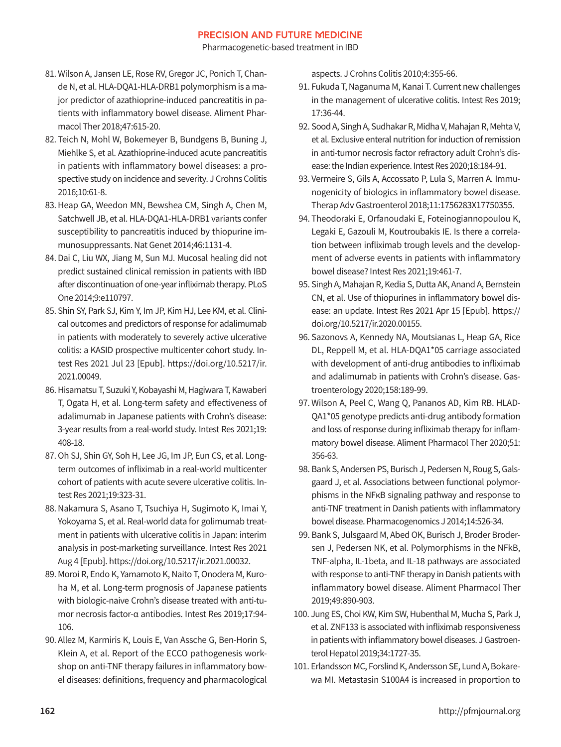Pharmacogenetic-based treatment in IBD

- 81. Wilson A, Jansen LE, Rose RV, Gregor JC, Ponich T, Chande N, et al. HLA-DQA1-HLA-DRB1 polymorphism is a major predictor of azathioprine-induced pancreatitis in patients with inflammatory bowel disease. Aliment Pharmacol Ther 2018;47:615-20.
- 82. Teich N, Mohl W, Bokemeyer B, Bundgens B, Buning J, Miehlke S, et al. Azathioprine-induced acute pancreatitis in patients with inflammatory bowel diseases: a prospective study on incidence and severity. J Crohns Colitis 2016;10:61-8.
- 83. Heap GA, Weedon MN, Bewshea CM, Singh A, Chen M, Satchwell JB, et al. HLA-DQA1-HLA-DRB1 variants confer susceptibility to pancreatitis induced by thiopurine immunosuppressants. Nat Genet 2014;46:1131-4.
- 84. Dai C, Liu WX, Jiang M, Sun MJ. Mucosal healing did not predict sustained clinical remission in patients with IBD after discontinuation of one-year infliximab therapy. PLoS One 2014;9:e110797.
- 85. Shin SY, Park SJ, Kim Y, Im JP, Kim HJ, Lee KM, et al. Clinical outcomes and predictors of response for adalimumab in patients with moderately to severely active ulcerative colitis: a KASID prospective multicenter cohort study. Intest Res 2021 Jul 23 [Epub]. [https://doi.org/10.5217/ir.](https://doi.org/10.5217/ir.2021.00049) [2021.00049](https://doi.org/10.5217/ir.2021.00049).
- 86. Hisamatsu T, Suzuki Y, Kobayashi M, Hagiwara T, Kawaberi T, Ogata H, et al. Long-term safety and effectiveness of adalimumab in Japanese patients with Crohn's disease: 3-year results from a real-world study. Intest Res 2021;19: 408-18.
- 87. Oh SJ, Shin GY, Soh H, Lee JG, Im JP, Eun CS, et al. Longterm outcomes of infliximab in a real-world multicenter cohort of patients with acute severe ulcerative colitis. Intest Res 2021;19:323-31.
- 88. Nakamura S, Asano T, Tsuchiya H, Sugimoto K, Imai Y, Yokoyama S, et al. Real-world data for golimumab treatment in patients with ulcerative colitis in Japan: interim analysis in post-marketing surveillance. Intest Res 2021 Aug 4 [Epub]. https://doi.org/10.5217/ir.2021.00032.
- 89. Moroi R, Endo K, Yamamoto K, Naito T, Onodera M, Kuroha M, et al. Long-term prognosis of Japanese patients with biologic-naive Crohn's disease treated with anti-tumor necrosis factor-α antibodies. Intest Res 2019;17:94- 106.
- 90. Allez M, Karmiris K, Louis E, Van Assche G, Ben-Horin S, Klein A, et al. Report of the ECCO pathogenesis workshop on anti-TNF therapy failures in inflammatory bowel diseases: definitions, frequency and pharmacological

aspects. J Crohns Colitis 2010;4:355-66.

- 91. Fukuda T, Naganuma M, Kanai T. Current new challenges in the management of ulcerative colitis. Intest Res 2019; 17:36-44.
- 92. Sood A, Singh A, Sudhakar R, Midha V, Mahajan R, Mehta V, et al. Exclusive enteral nutrition for induction of remission in anti-tumor necrosis factor refractory adult Crohn's disease: the Indian experience. Intest Res 2020;18:184-91.
- 93. Vermeire S, Gils A, Accossato P, Lula S, Marren A. Immunogenicity of biologics in inflammatory bowel disease. Therap Adv Gastroenterol 2018;11:1756283X17750355.
- 94. Theodoraki E, Orfanoudaki E, Foteinogiannopoulou K, Legaki E, Gazouli M, Koutroubakis IE. Is there a correlation between infliximab trough levels and the development of adverse events in patients with inflammatory bowel disease? Intest Res 2021;19:461-7.
- 95. Singh A, Mahajan R, Kedia S, Dutta AK, Anand A, Bernstein CN, et al. Use of thiopurines in inflammatory bowel disease: an update. Intest Res 2021 Apr 15 [Epub]. [https://](https://doi.org/10.5217/ir.2020.00155) [doi.org/10.5217/ir.2020.00155.](https://doi.org/10.5217/ir.2020.00155)
- 96. Sazonovs A, Kennedy NA, Moutsianas L, Heap GA, Rice DL, Reppell M, et al. HLA-DQA1\*05 carriage associated with development of anti-drug antibodies to infliximab and adalimumab in patients with Crohn's disease. Gastroenterology 2020;158:189-99.
- 97. Wilson A, Peel C, Wang Q, Pananos AD, Kim RB. HLAD-QA1\*05 genotype predicts anti-drug antibody formation and loss of response during infliximab therapy for inflammatory bowel disease. Aliment Pharmacol Ther 2020;51: 356-63.
- 98. Bank S, Andersen PS, Burisch J, Pedersen N, Roug S, Galsgaard J, et al. Associations between functional polymorphisms in the NFκB signaling pathway and response to anti-TNF treatment in Danish patients with inflammatory bowel disease. Pharmacogenomics J 2014;14:526-34.
- 99. Bank S, Julsgaard M, Abed OK, Burisch J, Broder Brodersen J, Pedersen NK, et al. Polymorphisms in the NFkB, TNF-alpha, IL-1beta, and IL-18 pathways are associated with response to anti-TNF therapy in Danish patients with inflammatory bowel disease. Aliment Pharmacol Ther 2019;49:890-903.
- 100. Jung ES, Choi KW, Kim SW, Hubenthal M, Mucha S, Park J, et al. ZNF133 is associated with infliximab responsiveness in patients with inflammatory bowel diseases. J Gastroenterol Hepatol 2019;34:1727-35.
- 101. Erlandsson MC, Forslind K, Andersson SE, Lund A, Bokarewa MI. Metastasin S100A4 is increased in proportion to